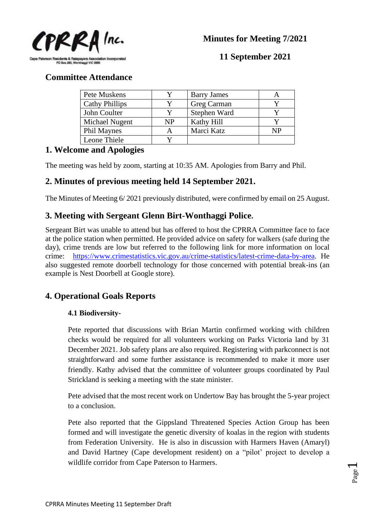

**11 September 2021**

**Committee Attendance**

| Pete Muskens          |           | <b>Barry James</b> |    |
|-----------------------|-----------|--------------------|----|
| <b>Cathy Phillips</b> |           | Greg Carman        |    |
| John Coulter          |           | Stephen Ward       |    |
| Michael Nugent        | <b>NP</b> | Kathy Hill         |    |
| <b>Phil Maynes</b>    |           | Marci Katz         | NP |
| Leone Thiele          |           |                    |    |
|                       |           |                    |    |

# **1. Welcome and Apologies**

The meeting was held by zoom, starting at 10:35 AM. Apologies from Barry and Phil.

# **2. Minutes of previous meeting held 14 September 2021.**

The Minutes of Meeting 6/ 2021 previously distributed, were confirmed by email on 25 August.

# **3. Meeting with Sergeant Glenn Birt-Wonthaggi Police.**

Sergeant Birt was unable to attend but has offered to host the CPRRA Committee face to face at the police station when permitted. He provided advice on safety for walkers (safe during the day), crime trends are low but referred to the following link for more information on local crime: [https://www.crimestatistics.vic.gov.au/crime-statistics/latest-crime-data-by-area.](https://www.crimestatistics.vic.gov.au/crime-statistics/latest-crime-data-by-area) He also suggested remote doorbell technology for those concerned with potential break-ins (an example is Nest Doorbell at Google store).

# **4. Operational Goals Reports**

## **4.1 Biodiversity-**

Pete reported that discussions with Brian Martin confirmed working with children checks would be required for all volunteers working on Parks Victoria land by 31 December 2021. Job safety plans are also required. Registering with parkconnect is not straightforward and some further assistance is recommended to make it more user friendly. Kathy advised that the committee of volunteer groups coordinated by Paul Strickland is seeking a meeting with the state minister.

Pete advised that the most recent work on Undertow Bay has brought the 5-year project to a conclusion.

Pete also reported that the Gippsland Threatened Species Action Group has been formed and will investigate the genetic diversity of koalas in the region with students from Federation University. He is also in discussion with Harmers Haven (Amaryl) and David Hartney (Cape development resident) on a "pilot' project to develop a wildlife corridor from Cape Paterson to Harmers.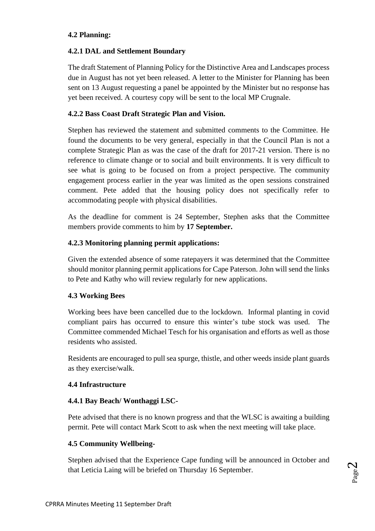#### **4.2 Planning:**

### **4.2.1 DAL and Settlement Boundary**

The draft Statement of Planning Policy for the Distinctive Area and Landscapes process due in August has not yet been released. A letter to the Minister for Planning has been sent on 13 August requesting a panel be appointed by the Minister but no response has yet been received. A courtesy copy will be sent to the local MP Crugnale.

#### **4.2.2 Bass Coast Draft Strategic Plan and Vision.**

Stephen has reviewed the statement and submitted comments to the Committee. He found the documents to be very general, especially in that the Council Plan is not a complete Strategic Plan as was the case of the draft for 2017-21 version. There is no reference to climate change or to social and built environments. It is very difficult to see what is going to be focused on from a project perspective. The community engagement process earlier in the year was limited as the open sessions constrained comment. Pete added that the housing policy does not specifically refer to accommodating people with physical disabilities.

As the deadline for comment is 24 September, Stephen asks that the Committee members provide comments to him by **17 September.**

### **4.2.3 Monitoring planning permit applications:**

Given the extended absence of some ratepayers it was determined that the Committee should monitor planning permit applications for Cape Paterson. John will send the links to Pete and Kathy who will review regularly for new applications.

#### **4.3 Working Bees**

Working bees have been cancelled due to the lockdown. Informal planting in covid compliant pairs has occurred to ensure this winter's tube stock was used. The Committee commended Michael Tesch for his organisation and efforts as well as those residents who assisted.

Residents are encouraged to pull sea spurge, thistle, and other weeds inside plant guards as they exercise/walk.

#### **4.4 Infrastructure**

## **4.4.1 Bay Beach/ Wonthaggi LSC-**

Pete advised that there is no known progress and that the WLSC is awaiting a building permit. Pete will contact Mark Scott to ask when the next meeting will take place.

#### **4.5 Community Wellbeing-**

Stephen advised that the Experience Cape funding will be announced in October and that Leticia Laing will be briefed on Thursday 16 September.